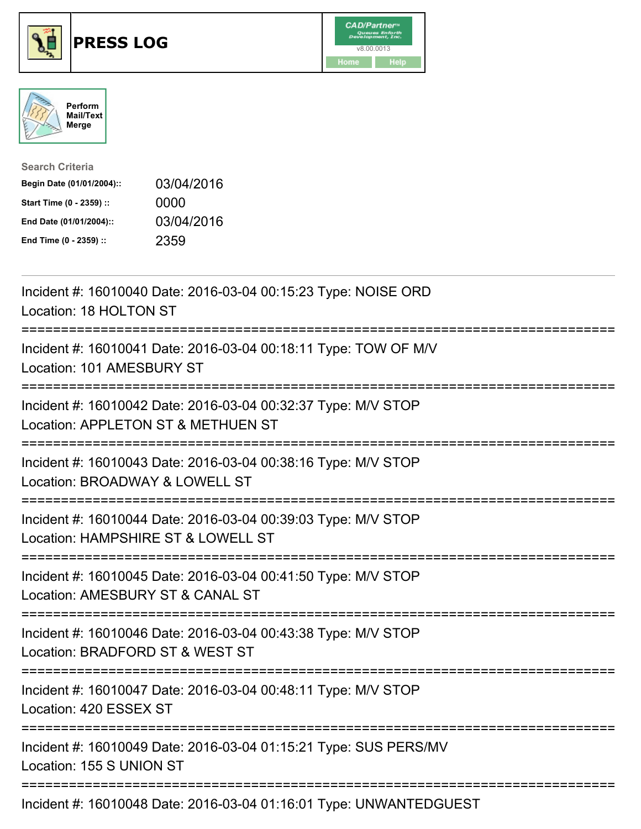





| <b>Search Criteria</b>    |            |
|---------------------------|------------|
| Begin Date (01/01/2004):: | 03/04/2016 |
| Start Time (0 - 2359) ::  | 0000       |
| End Date (01/01/2004)::   | 03/04/2016 |
| End Time (0 - 2359) ::    | 2359       |

| Incident #: 16010040 Date: 2016-03-04 00:15:23 Type: NOISE ORD<br>Location: 18 HOLTON ST                                             |
|--------------------------------------------------------------------------------------------------------------------------------------|
| Incident #: 16010041 Date: 2016-03-04 00:18:11 Type: TOW OF M/V<br>Location: 101 AMESBURY ST                                         |
| Incident #: 16010042 Date: 2016-03-04 00:32:37 Type: M/V STOP<br>Location: APPLETON ST & METHUEN ST<br>:============================ |
| Incident #: 16010043 Date: 2016-03-04 00:38:16 Type: M/V STOP<br>Location: BROADWAY & LOWELL ST                                      |
| Incident #: 16010044 Date: 2016-03-04 00:39:03 Type: M/V STOP<br>Location: HAMPSHIRE ST & LOWELL ST<br>----------------------------- |
| Incident #: 16010045 Date: 2016-03-04 00:41:50 Type: M/V STOP<br>Location: AMESBURY ST & CANAL ST                                    |
| Incident #: 16010046 Date: 2016-03-04 00:43:38 Type: M/V STOP<br>Location: BRADFORD ST & WEST ST<br>:========================        |
| Incident #: 16010047 Date: 2016-03-04 00:48:11 Type: M/V STOP<br>Location: 420 ESSEX ST                                              |
| Incident #: 16010049 Date: 2016-03-04 01:15:21 Type: SUS PERS/MV<br>Location: 155 S UNION ST                                         |
| Locident #: 46040040 Deta: 2046.02.04.04.46:04 Tune: UNIMIANITEDOUFOT                                                                |

Incident #: 16010048 Date: 2016-03-04 01:16:01 Type: UNWANTEDGUEST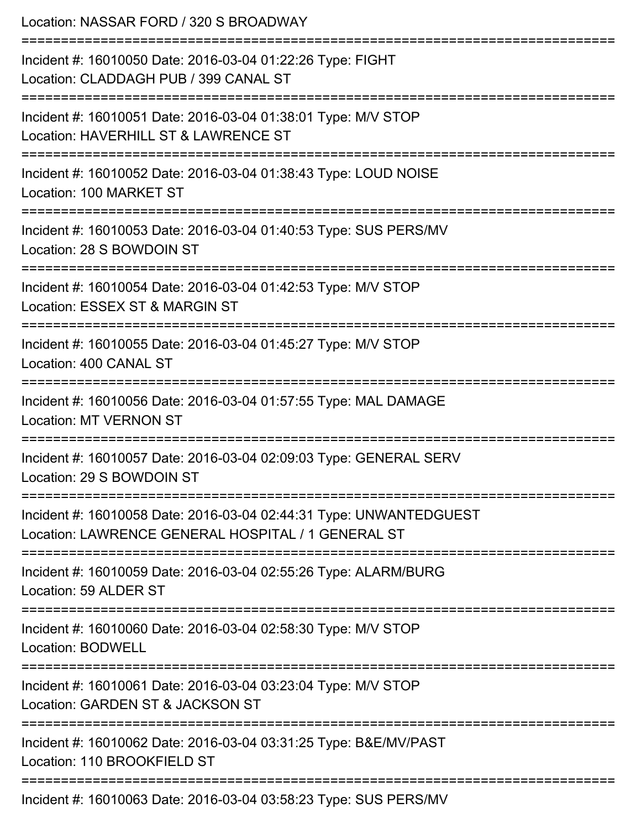| Location: NASSAR FORD / 320 S BROADWAY                                                                                                   |
|------------------------------------------------------------------------------------------------------------------------------------------|
| Incident #: 16010050 Date: 2016-03-04 01:22:26 Type: FIGHT<br>Location: CLADDAGH PUB / 399 CANAL ST<br>================================= |
| Incident #: 16010051 Date: 2016-03-04 01:38:01 Type: M/V STOP<br>Location: HAVERHILL ST & LAWRENCE ST                                    |
| Incident #: 16010052 Date: 2016-03-04 01:38:43 Type: LOUD NOISE<br>Location: 100 MARKET ST                                               |
| ================================<br>Incident #: 16010053 Date: 2016-03-04 01:40:53 Type: SUS PERS/MV<br>Location: 28 S BOWDOIN ST        |
| Incident #: 16010054 Date: 2016-03-04 01:42:53 Type: M/V STOP<br>Location: ESSEX ST & MARGIN ST                                          |
| ======================================<br>Incident #: 16010055 Date: 2016-03-04 01:45:27 Type: M/V STOP<br>Location: 400 CANAL ST        |
| Incident #: 16010056 Date: 2016-03-04 01:57:55 Type: MAL DAMAGE<br><b>Location: MT VERNON ST</b>                                         |
| Incident #: 16010057 Date: 2016-03-04 02:09:03 Type: GENERAL SERV<br>Location: 29 S BOWDOIN ST                                           |
| Incident #: 16010058 Date: 2016-03-04 02:44:31 Type: UNWANTEDGUEST<br>Location: LAWRENCE GENERAL HOSPITAL / 1 GENERAL ST                 |
| Incident #: 16010059 Date: 2016-03-04 02:55:26 Type: ALARM/BURG<br>Location: 59 ALDER ST                                                 |
| Incident #: 16010060 Date: 2016-03-04 02:58:30 Type: M/V STOP<br><b>Location: BODWELL</b>                                                |
| Incident #: 16010061 Date: 2016-03-04 03:23:04 Type: M/V STOP<br>Location: GARDEN ST & JACKSON ST                                        |
| Incident #: 16010062 Date: 2016-03-04 03:31:25 Type: B&E/MV/PAST<br>Location: 110 BROOKFIELD ST                                          |
| Incident #: 16010063 Date: 2016-03-04 03:58:23 Type: SUS PERS/MV                                                                         |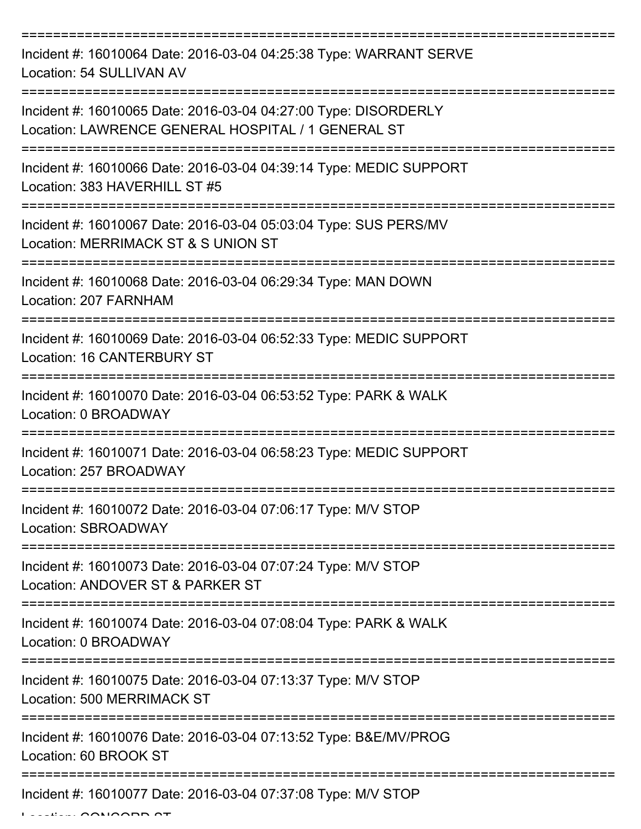=========================================================================== Incident #: 16010064 Date: 2016-03-04 04:25:38 Type: WARRANT SERVE Location: 54 SULLIVAN AV =========================================================================== Incident #: 16010065 Date: 2016-03-04 04:27:00 Type: DISORDERLY Location: LAWRENCE GENERAL HOSPITAL / 1 GENERAL ST =========================================================================== Incident #: 16010066 Date: 2016-03-04 04:39:14 Type: MEDIC SUPPORT Location: 383 HAVERHILL ST #5 =========================================================================== Incident #: 16010067 Date: 2016-03-04 05:03:04 Type: SUS PERS/MV Location: MERRIMACK ST & S UNION ST =========================================================================== Incident #: 16010068 Date: 2016-03-04 06:29:34 Type: MAN DOWN Location: 207 FARNHAM =========================================================================== Incident #: 16010069 Date: 2016-03-04 06:52:33 Type: MEDIC SUPPORT Location: 16 CANTERBURY ST =========================================================================== Incident #: 16010070 Date: 2016-03-04 06:53:52 Type: PARK & WALK Location: 0 BROADWAY =========================================================================== Incident #: 16010071 Date: 2016-03-04 06:58:23 Type: MEDIC SUPPORT Location: 257 BROADWAY =========================================================================== Incident #: 16010072 Date: 2016-03-04 07:06:17 Type: M/V STOP Location: SBROADWAY =========================================================================== Incident #: 16010073 Date: 2016-03-04 07:07:24 Type: M/V STOP Location: ANDOVER ST & PARKER ST =========================================================================== Incident #: 16010074 Date: 2016-03-04 07:08:04 Type: PARK & WALK Location: 0 BROADWAY =========================================================================== Incident #: 16010075 Date: 2016-03-04 07:13:37 Type: M/V STOP Location: 500 MERRIMACK ST =========================================================================== Incident #: 16010076 Date: 2016-03-04 07:13:52 Type: B&E/MV/PROG Location: 60 BROOK ST =========================================================================== Incident #: 16010077 Date: 2016-03-04 07:37:08 Type: M/V STOP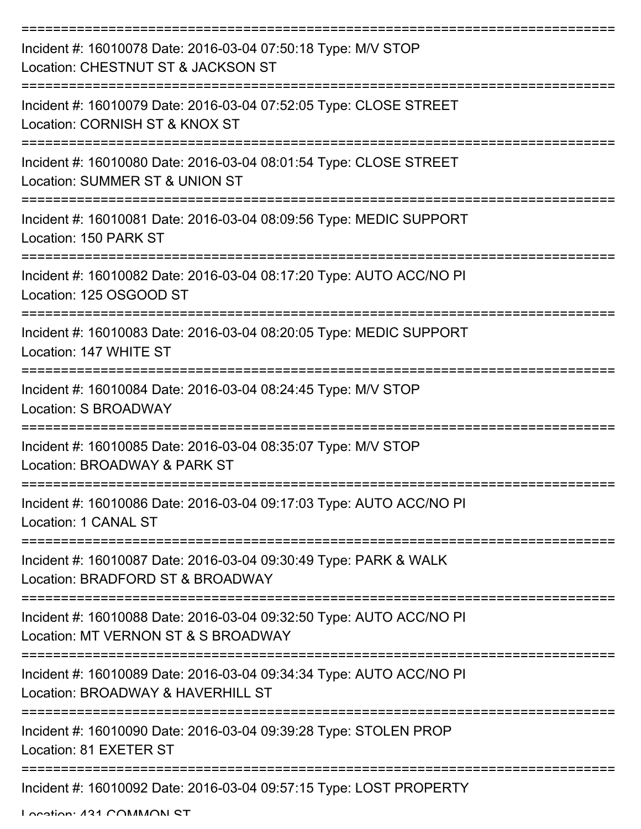| Incident #: 16010078 Date: 2016-03-04 07:50:18 Type: M/V STOP<br>Location: CHESTNUT ST & JACKSON ST                         |
|-----------------------------------------------------------------------------------------------------------------------------|
| Incident #: 16010079 Date: 2016-03-04 07:52:05 Type: CLOSE STREET<br>Location: CORNISH ST & KNOX ST                         |
| Incident #: 16010080 Date: 2016-03-04 08:01:54 Type: CLOSE STREET<br>Location: SUMMER ST & UNION ST                         |
| Incident #: 16010081 Date: 2016-03-04 08:09:56 Type: MEDIC SUPPORT<br>Location: 150 PARK ST                                 |
| Incident #: 16010082 Date: 2016-03-04 08:17:20 Type: AUTO ACC/NO PI<br>Location: 125 OSGOOD ST                              |
| Incident #: 16010083 Date: 2016-03-04 08:20:05 Type: MEDIC SUPPORT<br>Location: 147 WHITE ST                                |
| Incident #: 16010084 Date: 2016-03-04 08:24:45 Type: M/V STOP<br>Location: S BROADWAY                                       |
| Incident #: 16010085 Date: 2016-03-04 08:35:07 Type: M/V STOP<br>Location: BROADWAY & PARK ST                               |
| Incident #: 16010086 Date: 2016-03-04 09:17:03 Type: AUTO ACC/NO PI<br>Location: 1 CANAL ST                                 |
| ===================<br>Incident #: 16010087 Date: 2016-03-04 09:30:49 Type: PARK & WALK<br>Location: BRADFORD ST & BROADWAY |
| Incident #: 16010088 Date: 2016-03-04 09:32:50 Type: AUTO ACC/NO PI<br>Location: MT VERNON ST & S BROADWAY                  |
| Incident #: 16010089 Date: 2016-03-04 09:34:34 Type: AUTO ACC/NO PI<br>Location: BROADWAY & HAVERHILL ST                    |
| Incident #: 16010090 Date: 2016-03-04 09:39:28 Type: STOLEN PROP<br>Location: 81 EXETER ST                                  |
| Incident #: 16010092 Date: 2016-03-04 09:57:15 Type: LOST PROPERTY                                                          |

Location: 421 COMMON ST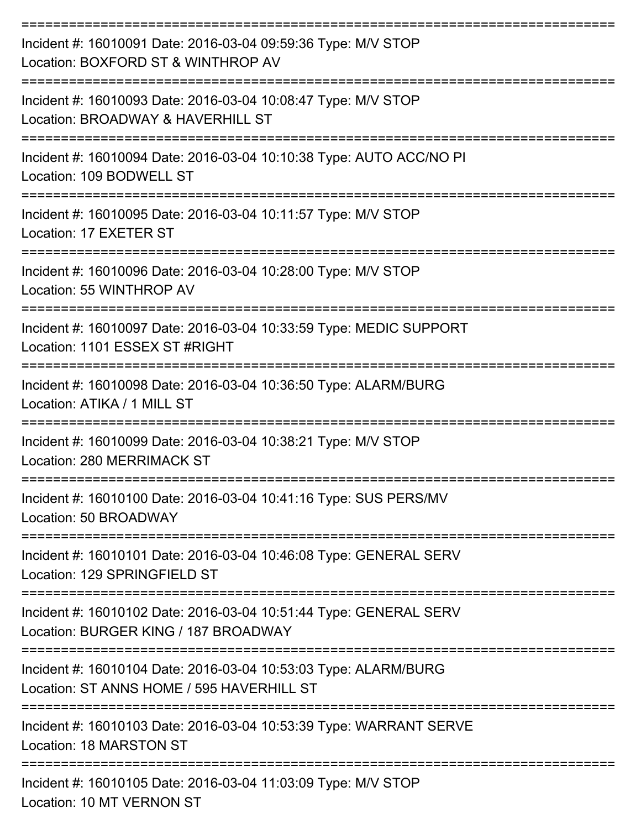| Incident #: 16010091 Date: 2016-03-04 09:59:36 Type: M/V STOP<br>Location: BOXFORD ST & WINTHROP AV          |
|--------------------------------------------------------------------------------------------------------------|
| Incident #: 16010093 Date: 2016-03-04 10:08:47 Type: M/V STOP<br>Location: BROADWAY & HAVERHILL ST           |
| Incident #: 16010094 Date: 2016-03-04 10:10:38 Type: AUTO ACC/NO PI<br>Location: 109 BODWELL ST              |
| Incident #: 16010095 Date: 2016-03-04 10:11:57 Type: M/V STOP<br>Location: 17 EXETER ST<br>================  |
| Incident #: 16010096 Date: 2016-03-04 10:28:00 Type: M/V STOP<br>Location: 55 WINTHROP AV                    |
| Incident #: 16010097 Date: 2016-03-04 10:33:59 Type: MEDIC SUPPORT<br>Location: 1101 ESSEX ST #RIGHT         |
| Incident #: 16010098 Date: 2016-03-04 10:36:50 Type: ALARM/BURG<br>Location: ATIKA / 1 MILL ST               |
| Incident #: 16010099 Date: 2016-03-04 10:38:21 Type: M/V STOP<br>Location: 280 MERRIMACK ST                  |
| Incident #: 16010100 Date: 2016-03-04 10:41:16 Type: SUS PERS/MV<br>Location: 50 BROADWAY                    |
| Incident #: 16010101 Date: 2016-03-04 10:46:08 Type: GENERAL SERV<br>Location: 129 SPRINGFIELD ST            |
| Incident #: 16010102 Date: 2016-03-04 10:51:44 Type: GENERAL SERV<br>Location: BURGER KING / 187 BROADWAY    |
| Incident #: 16010104 Date: 2016-03-04 10:53:03 Type: ALARM/BURG<br>Location: ST ANNS HOME / 595 HAVERHILL ST |
| Incident #: 16010103 Date: 2016-03-04 10:53:39 Type: WARRANT SERVE<br>Location: 18 MARSTON ST                |
| Incident #: 16010105 Date: 2016-03-04 11:03:09 Type: M/V STOP                                                |

Location: 10 MT VERNON ST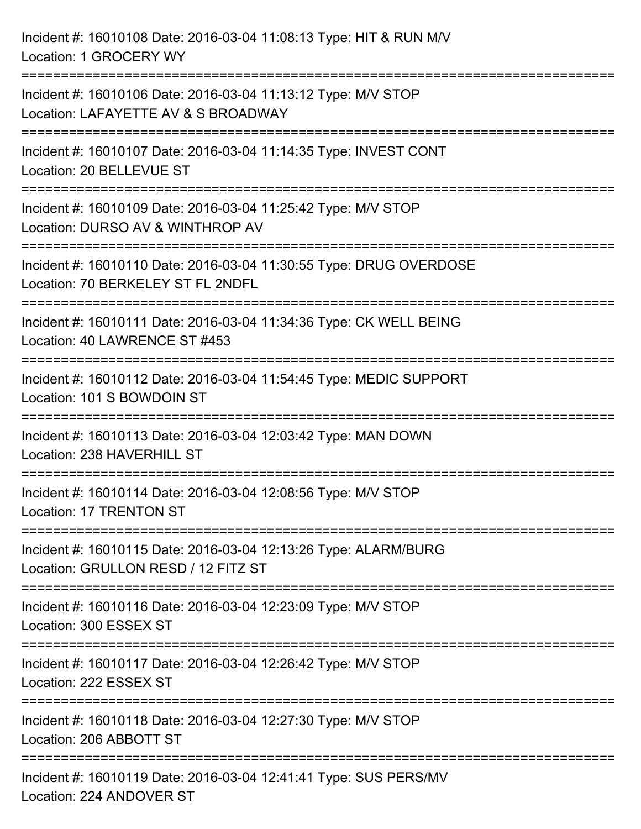Incident #: 16010108 Date: 2016-03-04 11:08:13 Type: HIT & RUN M/V Location: 1 GROCERY WY =========================================================================== Incident #: 16010106 Date: 2016-03-04 11:13:12 Type: M/V STOP Location: LAFAYETTE AV & S BROADWAY =========================================================================== Incident #: 16010107 Date: 2016-03-04 11:14:35 Type: INVEST CONT Location: 20 BELLEVUE ST =========================================================================== Incident #: 16010109 Date: 2016-03-04 11:25:42 Type: M/V STOP Location: DURSO AV & WINTHROP AV =========================================================================== Incident #: 16010110 Date: 2016-03-04 11:30:55 Type: DRUG OVERDOSE Location: 70 BERKELEY ST FL 2NDFL =========================================================================== Incident #: 16010111 Date: 2016-03-04 11:34:36 Type: CK WELL BEING Location: 40 LAWRENCE ST #453 =========================================================================== Incident #: 16010112 Date: 2016-03-04 11:54:45 Type: MEDIC SUPPORT Location: 101 S BOWDOIN ST =========================================================================== Incident #: 16010113 Date: 2016-03-04 12:03:42 Type: MAN DOWN Location: 238 HAVERHILL ST =========================================================================== Incident #: 16010114 Date: 2016-03-04 12:08:56 Type: M/V STOP Location: 17 TRENTON ST =========================================================================== Incident #: 16010115 Date: 2016-03-04 12:13:26 Type: ALARM/BURG Location: GRULLON RESD / 12 FITZ ST =========================================================================== Incident #: 16010116 Date: 2016-03-04 12:23:09 Type: M/V STOP Location: 300 ESSEX ST =========================================================================== Incident #: 16010117 Date: 2016-03-04 12:26:42 Type: M/V STOP Location: 222 ESSEX ST =========================================================================== Incident #: 16010118 Date: 2016-03-04 12:27:30 Type: M/V STOP Location: 206 ABBOTT ST =========================================================================== Incident #: 16010119 Date: 2016-03-04 12:41:41 Type: SUS PERS/MV Location: 224 ANDOVER ST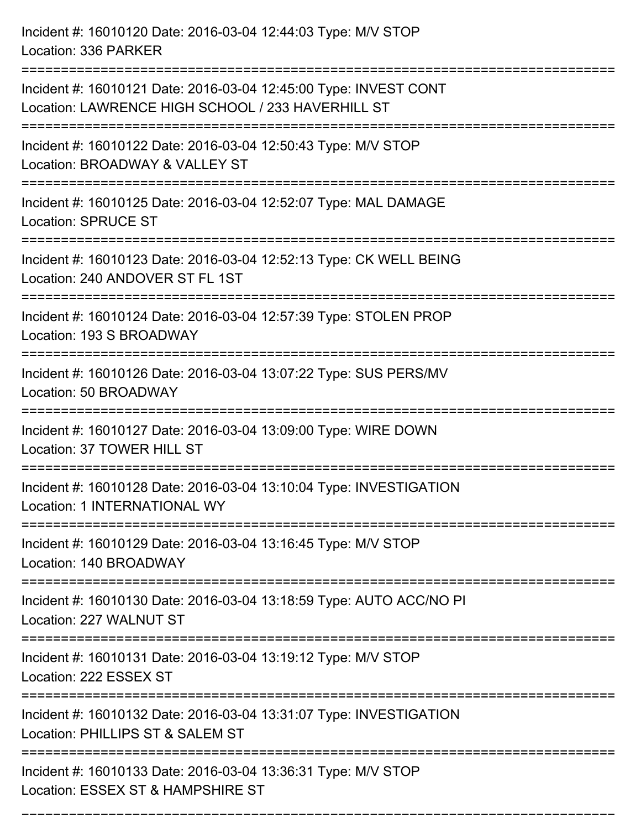Incident #: 16010120 Date: 2016-03-04 12:44:03 Type: M/V STOP Location: 336 PARKER =========================================================================== Incident #: 16010121 Date: 2016-03-04 12:45:00 Type: INVEST CONT Location: LAWRENCE HIGH SCHOOL / 233 HAVERHILL ST =========================================================================== Incident #: 16010122 Date: 2016-03-04 12:50:43 Type: M/V STOP Location: BROADWAY & VALLEY ST =========================================================================== Incident #: 16010125 Date: 2016-03-04 12:52:07 Type: MAL DAMAGE Location: SPRUCE ST =========================================================================== Incident #: 16010123 Date: 2016-03-04 12:52:13 Type: CK WELL BEING Location: 240 ANDOVER ST FL 1ST =========================================================================== Incident #: 16010124 Date: 2016-03-04 12:57:39 Type: STOLEN PROP Location: 193 S BROADWAY =========================================================================== Incident #: 16010126 Date: 2016-03-04 13:07:22 Type: SUS PERS/MV Location: 50 BROADWAY =========================================================================== Incident #: 16010127 Date: 2016-03-04 13:09:00 Type: WIRE DOWN Location: 37 TOWER HILL ST =========================================================================== Incident #: 16010128 Date: 2016-03-04 13:10:04 Type: INVESTIGATION Location: 1 INTERNATIONAL WY =========================================================================== Incident #: 16010129 Date: 2016-03-04 13:16:45 Type: M/V STOP Location: 140 BROADWAY =========================================================================== Incident #: 16010130 Date: 2016-03-04 13:18:59 Type: AUTO ACC/NO PI Location: 227 WALNUT ST =========================================================================== Incident #: 16010131 Date: 2016-03-04 13:19:12 Type: M/V STOP Location: 222 ESSEX ST =========================================================================== Incident #: 16010132 Date: 2016-03-04 13:31:07 Type: INVESTIGATION Location: PHILLIPS ST & SALEM ST =========================================================================== Incident #: 16010133 Date: 2016-03-04 13:36:31 Type: M/V STOP Location: ESSEX ST & HAMPSHIRE ST

===========================================================================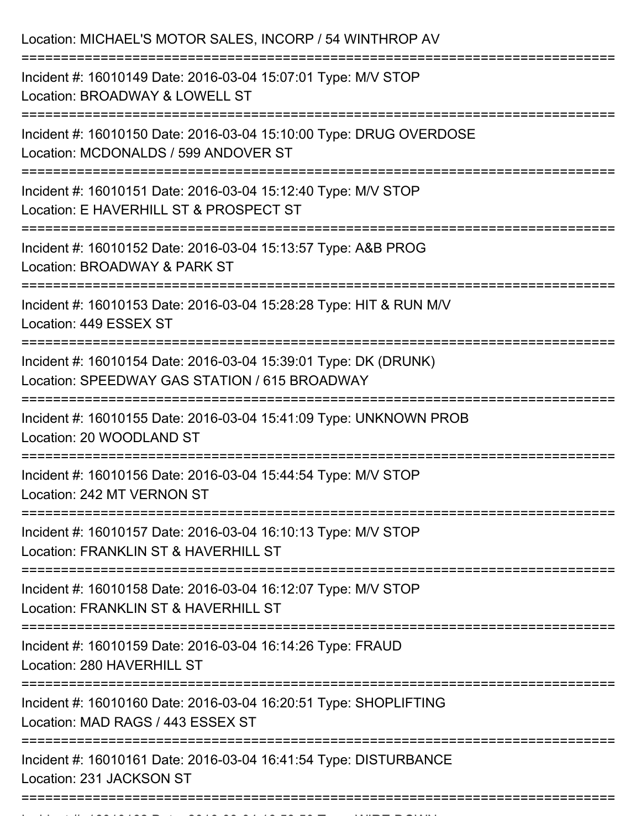| Location: MICHAEL'S MOTOR SALES, INCORP / 54 WINTHROP AV                                                                                                            |
|---------------------------------------------------------------------------------------------------------------------------------------------------------------------|
| Incident #: 16010149 Date: 2016-03-04 15:07:01 Type: M/V STOP<br>Location: BROADWAY & LOWELL ST                                                                     |
| Incident #: 16010150 Date: 2016-03-04 15:10:00 Type: DRUG OVERDOSE<br>Location: MCDONALDS / 599 ANDOVER ST                                                          |
| Incident #: 16010151 Date: 2016-03-04 15:12:40 Type: M/V STOP<br>Location: E HAVERHILL ST & PROSPECT ST<br>==============================<br>:===================== |
| Incident #: 16010152 Date: 2016-03-04 15:13:57 Type: A&B PROG<br>Location: BROADWAY & PARK ST                                                                       |
| Incident #: 16010153 Date: 2016-03-04 15:28:28 Type: HIT & RUN M/V<br>Location: 449 ESSEX ST                                                                        |
| Incident #: 16010154 Date: 2016-03-04 15:39:01 Type: DK (DRUNK)<br>Location: SPEEDWAY GAS STATION / 615 BROADWAY                                                    |
| Incident #: 16010155 Date: 2016-03-04 15:41:09 Type: UNKNOWN PROB<br>Location: 20 WOODLAND ST                                                                       |
| Incident #: 16010156 Date: 2016-03-04 15:44:54 Type: M/V STOP<br>Location: 242 MT VERNON ST                                                                         |
| Incident #: 16010157 Date: 2016-03-04 16:10:13 Type: M/V STOP<br>Location: FRANKLIN ST & HAVERHILL ST                                                               |
| Incident #: 16010158 Date: 2016-03-04 16:12:07 Type: M/V STOP<br>Location: FRANKLIN ST & HAVERHILL ST                                                               |
| ======================<br>===================================<br>Incident #: 16010159 Date: 2016-03-04 16:14:26 Type: FRAUD<br>Location: 280 HAVERHILL ST           |
| Incident #: 16010160 Date: 2016-03-04 16:20:51 Type: SHOPLIFTING<br>Location: MAD RAGS / 443 ESSEX ST                                                               |
| Incident #: 16010161 Date: 2016-03-04 16:41:54 Type: DISTURBANCE<br>Location: 231 JACKSON ST                                                                        |
|                                                                                                                                                                     |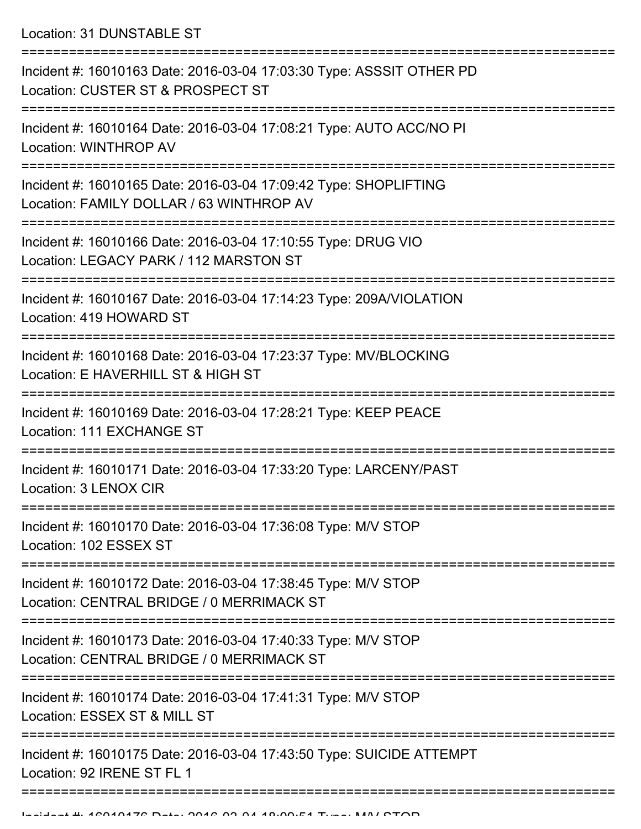Location: 31 DUNSTABLE ST

| Incident #: 16010163 Date: 2016-03-04 17:03:30 Type: ASSSIT OTHER PD<br>Location: CUSTER ST & PROSPECT ST    |
|--------------------------------------------------------------------------------------------------------------|
| Incident #: 16010164 Date: 2016-03-04 17:08:21 Type: AUTO ACC/NO PI<br>Location: WINTHROP AV                 |
| Incident #: 16010165 Date: 2016-03-04 17:09:42 Type: SHOPLIFTING<br>Location: FAMILY DOLLAR / 63 WINTHROP AV |
| Incident #: 16010166 Date: 2016-03-04 17:10:55 Type: DRUG VIO<br>Location: LEGACY PARK / 112 MARSTON ST      |
| Incident #: 16010167 Date: 2016-03-04 17:14:23 Type: 209A/VIOLATION<br>Location: 419 HOWARD ST               |
| Incident #: 16010168 Date: 2016-03-04 17:23:37 Type: MV/BLOCKING<br>Location: E HAVERHILL ST & HIGH ST       |
| Incident #: 16010169 Date: 2016-03-04 17:28:21 Type: KEEP PEACE<br>Location: 111 EXCHANGE ST                 |
| Incident #: 16010171 Date: 2016-03-04 17:33:20 Type: LARCENY/PAST<br>Location: 3 LENOX CIR                   |
| Incident #: 16010170 Date: 2016-03-04 17:36:08 Type: M/V STOP<br>Location: 102 ESSEX ST                      |
| Incident #: 16010172 Date: 2016-03-04 17:38:45 Type: M/V STOP<br>Location: CENTRAL BRIDGE / 0 MERRIMACK ST   |
| Incident #: 16010173 Date: 2016-03-04 17:40:33 Type: M/V STOP<br>Location: CENTRAL BRIDGE / 0 MERRIMACK ST   |
| Incident #: 16010174 Date: 2016-03-04 17:41:31 Type: M/V STOP<br>Location: ESSEX ST & MILL ST                |
| Incident #: 16010175 Date: 2016-03-04 17:43:50 Type: SUICIDE ATTEMPT<br>Location: 92 IRENE ST FL 1           |
|                                                                                                              |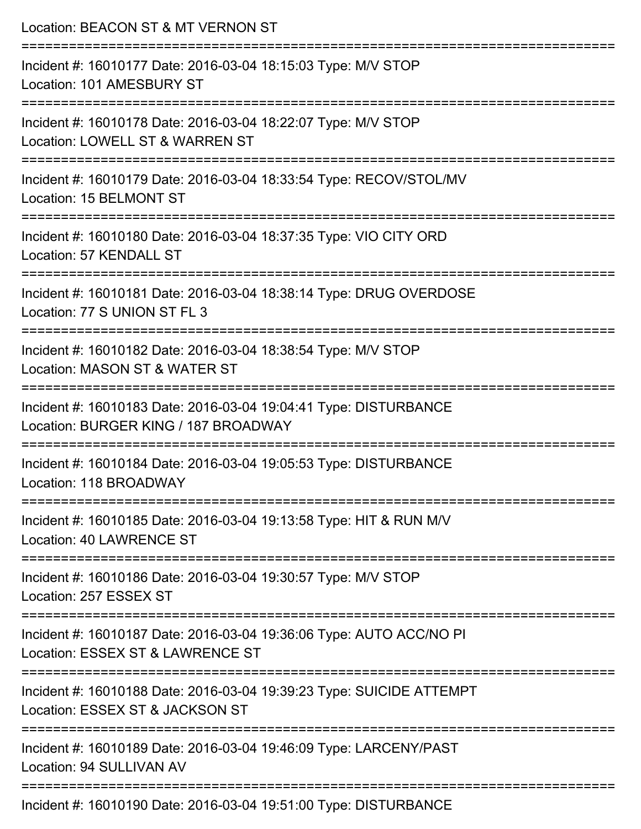| Location: BEACON ST & MT VERNON ST                                                                                                             |
|------------------------------------------------------------------------------------------------------------------------------------------------|
| Incident #: 16010177 Date: 2016-03-04 18:15:03 Type: M/V STOP<br>Location: 101 AMESBURY ST                                                     |
| Incident #: 16010178 Date: 2016-03-04 18:22:07 Type: M/V STOP<br>Location: LOWELL ST & WARREN ST                                               |
| Incident #: 16010179 Date: 2016-03-04 18:33:54 Type: RECOV/STOL/MV<br>Location: 15 BELMONT ST                                                  |
| Incident #: 16010180 Date: 2016-03-04 18:37:35 Type: VIO CITY ORD<br>Location: 57 KENDALL ST                                                   |
| Incident #: 16010181 Date: 2016-03-04 18:38:14 Type: DRUG OVERDOSE<br>Location: 77 S UNION ST FL 3                                             |
| Incident #: 16010182 Date: 2016-03-04 18:38:54 Type: M/V STOP<br>Location: MASON ST & WATER ST                                                 |
| Incident #: 16010183 Date: 2016-03-04 19:04:41 Type: DISTURBANCE<br>Location: BURGER KING / 187 BROADWAY                                       |
| Incident #: 16010184 Date: 2016-03-04 19:05:53 Type: DISTURBANCE<br>Location: 118 BROADWAY                                                     |
| Incident #: 16010185 Date: 2016-03-04 19:13:58 Type: HIT & RUN M/V<br>Location: 40 LAWRENCE ST                                                 |
| Incident #: 16010186 Date: 2016-03-04 19:30:57 Type: M/V STOP<br>Location: 257 ESSEX ST                                                        |
| :==================================<br>Incident #: 16010187 Date: 2016-03-04 19:36:06 Type: AUTO ACC/NO PI<br>Location: ESSEX ST & LAWRENCE ST |
| Incident #: 16010188 Date: 2016-03-04 19:39:23 Type: SUICIDE ATTEMPT<br>Location: ESSEX ST & JACKSON ST                                        |
| Incident #: 16010189 Date: 2016-03-04 19:46:09 Type: LARCENY/PAST<br>Location: 94 SULLIVAN AV                                                  |
|                                                                                                                                                |

Incident #: 16010190 Date: 2016-03-04 19:51:00 Type: DISTURBANCE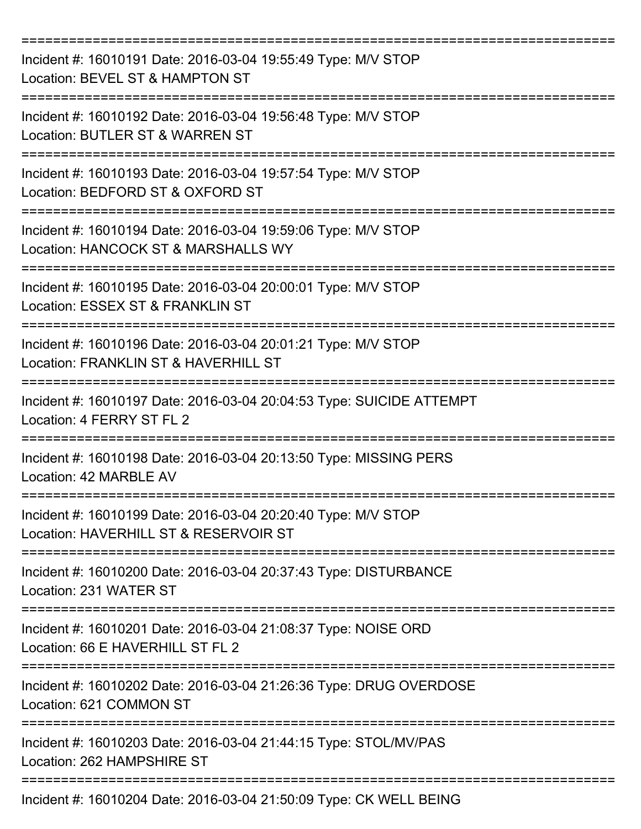| Incident #: 16010191 Date: 2016-03-04 19:55:49 Type: M/V STOP<br>Location: BEVEL ST & HAMPTON ST                        |
|-------------------------------------------------------------------------------------------------------------------------|
| Incident #: 16010192 Date: 2016-03-04 19:56:48 Type: M/V STOP<br>Location: BUTLER ST & WARREN ST                        |
| Incident #: 16010193 Date: 2016-03-04 19:57:54 Type: M/V STOP<br>Location: BEDFORD ST & OXFORD ST                       |
| Incident #: 16010194 Date: 2016-03-04 19:59:06 Type: M/V STOP<br>Location: HANCOCK ST & MARSHALLS WY                    |
| Incident #: 16010195 Date: 2016-03-04 20:00:01 Type: M/V STOP<br>Location: ESSEX ST & FRANKLIN ST                       |
| Incident #: 16010196 Date: 2016-03-04 20:01:21 Type: M/V STOP<br>Location: FRANKLIN ST & HAVERHILL ST<br>-------------- |
| Incident #: 16010197 Date: 2016-03-04 20:04:53 Type: SUICIDE ATTEMPT<br>Location: 4 FERRY ST FL 2                       |
| Incident #: 16010198 Date: 2016-03-04 20:13:50 Type: MISSING PERS<br>Location: 42 MARBLE AV                             |
| Incident #: 16010199 Date: 2016-03-04 20:20:40 Type: M/V STOP<br>Location: HAVERHILL ST & RESERVOIR ST                  |
| Incident #: 16010200 Date: 2016-03-04 20:37:43 Type: DISTURBANCE<br>Location: 231 WATER ST                              |
| Incident #: 16010201 Date: 2016-03-04 21:08:37 Type: NOISE ORD<br>Location: 66 E HAVERHILL ST FL 2                      |
| Incident #: 16010202 Date: 2016-03-04 21:26:36 Type: DRUG OVERDOSE<br>Location: 621 COMMON ST                           |
| Incident #: 16010203 Date: 2016-03-04 21:44:15 Type: STOL/MV/PAS<br>Location: 262 HAMPSHIRE ST                          |
| Incident #: 16010204 Date: 2016-03-04 21:50:09 Type: CK WELL BEING                                                      |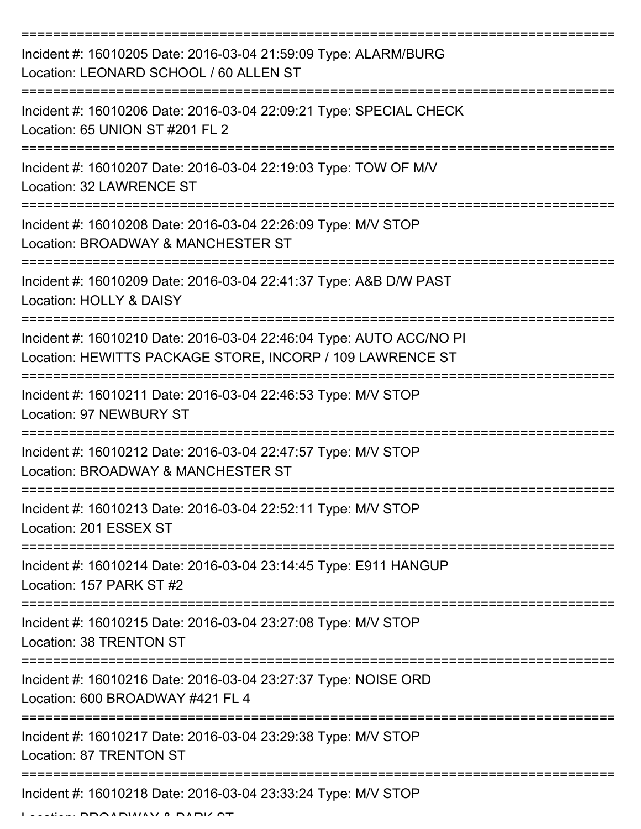| Incident #: 16010205 Date: 2016-03-04 21:59:09 Type: ALARM/BURG<br>Location: LEONARD SCHOOL / 60 ALLEN ST                        |
|----------------------------------------------------------------------------------------------------------------------------------|
| Incident #: 16010206 Date: 2016-03-04 22:09:21 Type: SPECIAL CHECK<br>Location: 65 UNION ST #201 FL 2                            |
| Incident #: 16010207 Date: 2016-03-04 22:19:03 Type: TOW OF M/V<br>Location: 32 LAWRENCE ST                                      |
| Incident #: 16010208 Date: 2016-03-04 22:26:09 Type: M/V STOP<br>Location: BROADWAY & MANCHESTER ST                              |
| Incident #: 16010209 Date: 2016-03-04 22:41:37 Type: A&B D/W PAST<br>Location: HOLLY & DAISY                                     |
| Incident #: 16010210 Date: 2016-03-04 22:46:04 Type: AUTO ACC/NO PI<br>Location: HEWITTS PACKAGE STORE, INCORP / 109 LAWRENCE ST |
| Incident #: 16010211 Date: 2016-03-04 22:46:53 Type: M/V STOP<br><b>Location: 97 NEWBURY ST</b>                                  |
| Incident #: 16010212 Date: 2016-03-04 22:47:57 Type: M/V STOP<br>Location: BROADWAY & MANCHESTER ST                              |
| Incident #: 16010213 Date: 2016-03-04 22:52:11 Type: M/V STOP<br>Location: 201 ESSEX ST                                          |
| ==================<br>Incident #: 16010214 Date: 2016-03-04 23:14:45 Type: E911 HANGUP<br>Location: 157 PARK ST #2               |
| Incident #: 16010215 Date: 2016-03-04 23:27:08 Type: M/V STOP<br>Location: 38 TRENTON ST                                         |
| Incident #: 16010216 Date: 2016-03-04 23:27:37 Type: NOISE ORD<br>Location: 600 BROADWAY #421 FL 4                               |
| Incident #: 16010217 Date: 2016-03-04 23:29:38 Type: M/V STOP<br>Location: 87 TRENTON ST                                         |
| Incident #: 16010218 Date: 2016-03-04 23:33:24 Type: M/V STOP                                                                    |